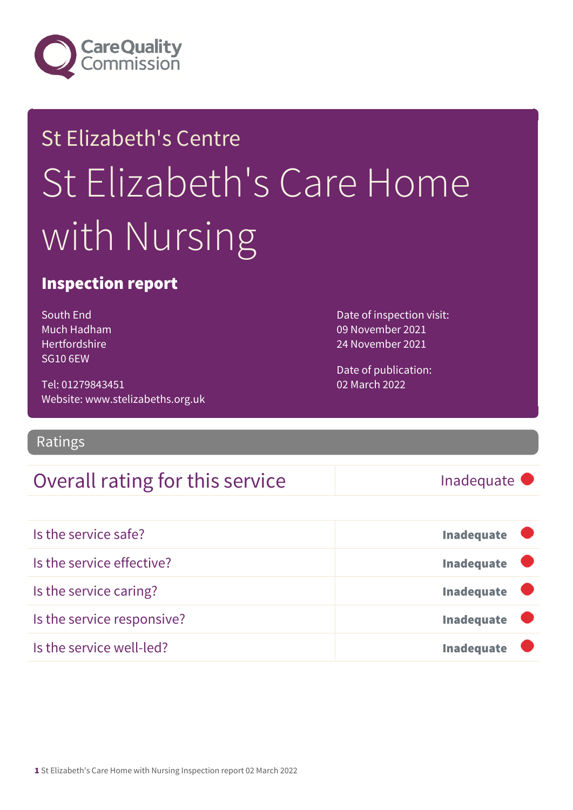

# St Elizabeth's Centre St Elizabeth's Care Home with Nursing

### Inspection report

South End Much Hadham Hertfordshire SG10 6EW

Tel: 01279843451 Website: www.stelizabeths.org.uk

Ratings

### Overall rating for this service Inadequate

Date of inspection visit: 09 November 2021 24 November 2021

Date of publication: 02 March 2022

| Is the service safe?       | <b>Inadequate</b>         |
|----------------------------|---------------------------|
| Is the service effective?  | Inadequate $\blacksquare$ |
| Is the service caring?     | Inadequate <b>U</b>       |
| Is the service responsive? | <b>Inadequate</b>         |
| Is the service well-led?   | <b>Inadequate</b>         |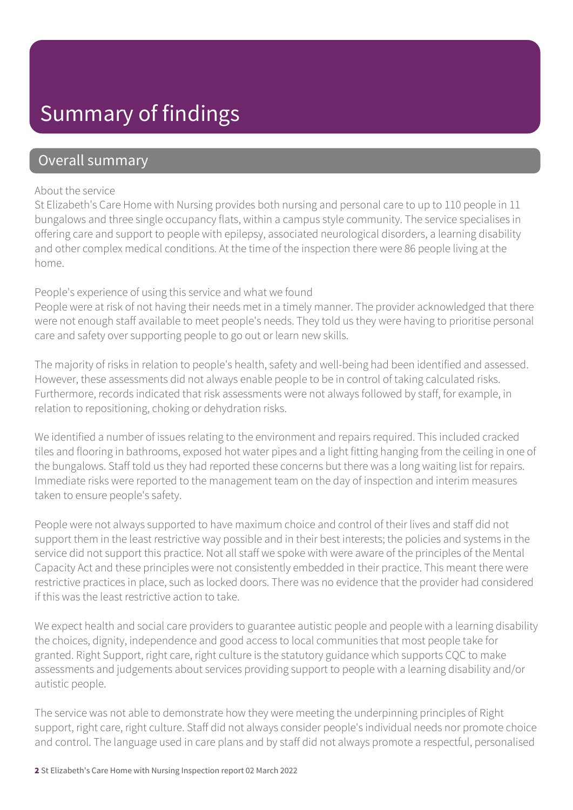## Summary of findings

### Overall summary

#### About the service

St Elizabeth's Care Home with Nursing provides both nursing and personal care to up to 110 people in 11 bungalows and three single occupancy flats, within a campus style community. The service specialises in offering care and support to people with epilepsy, associated neurological disorders, a learning disability and other complex medical conditions. At the time of the inspection there were 86 people living at the home.

#### People's experience of using this service and what we found

People were at risk of not having their needs met in a timely manner. The provider acknowledged that there were not enough staff available to meet people's needs. They told us they were having to prioritise personal care and safety over supporting people to go out or learn new skills.

The majority of risks in relation to people's health, safety and well-being had been identified and assessed. However, these assessments did not always enable people to be in control of taking calculated risks. Furthermore, records indicated that risk assessments were not always followed by staff, for example, in relation to repositioning, choking or dehydration risks.

We identified a number of issues relating to the environment and repairs required. This included cracked tiles and flooring in bathrooms, exposed hot water pipes and a light fitting hanging from the ceiling in one of the bungalows. Staff told us they had reported these concerns but there was a long waiting list for repairs. Immediate risks were reported to the management team on the day of inspection and interim measures taken to ensure people's safety.

People were not always supported to have maximum choice and control of their lives and staff did not support them in the least restrictive way possible and in their best interests; the policies and systems in the service did not support this practice. Not all staff we spoke with were aware of the principles of the Mental Capacity Act and these principles were not consistently embedded in their practice. This meant there were restrictive practices in place, such as locked doors. There was no evidence that the provider had considered if this was the least restrictive action to take.

We expect health and social care providers to guarantee autistic people and people with a learning disability the choices, dignity, independence and good access to local communities that most people take for granted. Right Support, right care, right culture is the statutory guidance which supports CQC to make assessments and judgements about services providing support to people with a learning disability and/or autistic people.

The service was not able to demonstrate how they were meeting the underpinning principles of Right support, right care, right culture. Staff did not always consider people's individual needs nor promote choice and control. The language used in care plans and by staff did not always promote a respectful, personalised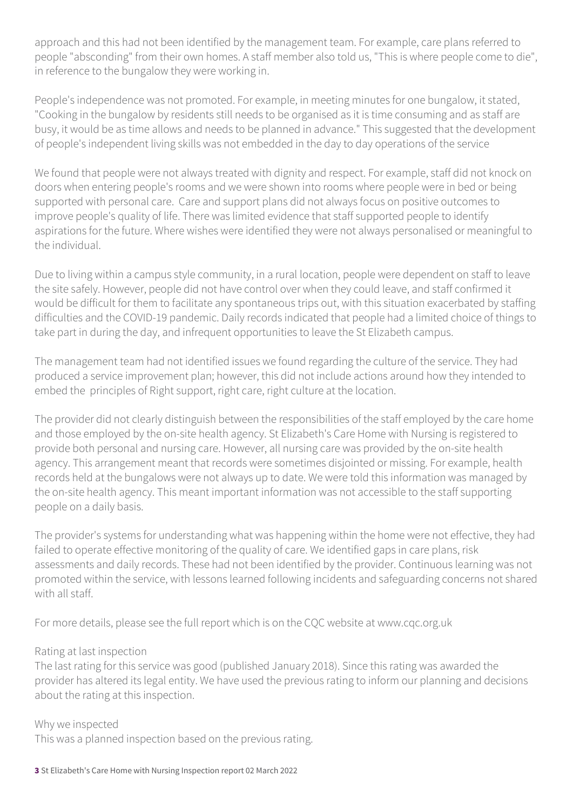approach and this had not been identified by the management team. For example, care plans referred to people "absconding" from their own homes. A staff member also told us, "This is where people come to die", in reference to the bungalow they were working in.

People's independence was not promoted. For example, in meeting minutes for one bungalow, it stated, "Cooking in the bungalow by residents still needs to be organised as it is time consuming and as staff are busy, it would be as time allows and needs to be planned in advance." This suggested that the development of people's independent living skills was not embedded in the day to day operations of the service

We found that people were not always treated with dignity and respect. For example, staff did not knock on doors when entering people's rooms and we were shown into rooms where people were in bed or being supported with personal care. Care and support plans did not always focus on positive outcomes to improve people's quality of life. There was limited evidence that staff supported people to identify aspirations for the future. Where wishes were identified they were not always personalised or meaningful to the individual.

Due to living within a campus style community, in a rural location, people were dependent on staff to leave the site safely. However, people did not have control over when they could leave, and staff confirmed it would be difficult for them to facilitate any spontaneous trips out, with this situation exacerbated by staffing difficulties and the COVID-19 pandemic. Daily records indicated that people had a limited choice of things to take part in during the day, and infrequent opportunities to leave the St Elizabeth campus.

The management team had not identified issues we found regarding the culture of the service. They had produced a service improvement plan; however, this did not include actions around how they intended to embed the principles of Right support, right care, right culture at the location.

The provider did not clearly distinguish between the responsibilities of the staff employed by the care home and those employed by the on-site health agency. St Elizabeth's Care Home with Nursing is registered to provide both personal and nursing care. However, all nursing care was provided by the on-site health agency. This arrangement meant that records were sometimes disjointed or missing. For example, health records held at the bungalows were not always up to date. We were told this information was managed by the on-site health agency. This meant important information was not accessible to the staff supporting people on a daily basis.

The provider's systems for understanding what was happening within the home were not effective, they had failed to operate effective monitoring of the quality of care. We identified gaps in care plans, risk assessments and daily records. These had not been identified by the provider. Continuous learning was not promoted within the service, with lessons learned following incidents and safeguarding concerns not shared with all staff.

For more details, please see the full report which is on the CQC website at www.cqc.org.uk

#### Rating at last inspection

The last rating for this service was good (published January 2018). Since this rating was awarded the provider has altered its legal entity. We have used the previous rating to inform our planning and decisions about the rating at this inspection.

#### Why we inspected

This was a planned inspection based on the previous rating.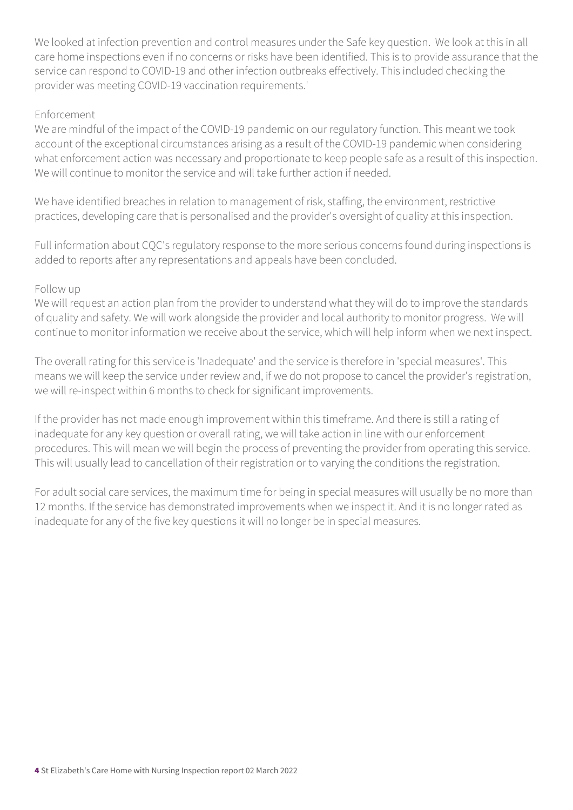We looked at infection prevention and control measures under the Safe key question. We look at this in all care home inspections even if no concerns or risks have been identified. This is to provide assurance that the service can respond to COVID-19 and other infection outbreaks effectively. This included checking the provider was meeting COVID-19 vaccination requirements.'

#### Enforcement

We are mindful of the impact of the COVID-19 pandemic on our regulatory function. This meant we took account of the exceptional circumstances arising as a result of the COVID-19 pandemic when considering what enforcement action was necessary and proportionate to keep people safe as a result of this inspection. We will continue to monitor the service and will take further action if needed.

We have identified breaches in relation to management of risk, staffing, the environment, restrictive practices, developing care that is personalised and the provider's oversight of quality at this inspection.

Full information about CQC's regulatory response to the more serious concerns found during inspections is added to reports after any representations and appeals have been concluded.

#### Follow up

We will request an action plan from the provider to understand what they will do to improve the standards of quality and safety. We will work alongside the provider and local authority to monitor progress. We will continue to monitor information we receive about the service, which will help inform when we next inspect.

The overall rating for this service is 'Inadequate' and the service is therefore in 'special measures'. This means we will keep the service under review and, if we do not propose to cancel the provider's registration, we will re-inspect within 6 months to check for significant improvements.

If the provider has not made enough improvement within this timeframe. And there is still a rating of inadequate for any key question or overall rating, we will take action in line with our enforcement procedures. This will mean we will begin the process of preventing the provider from operating this service. This will usually lead to cancellation of their registration or to varying the conditions the registration.

For adult social care services, the maximum time for being in special measures will usually be no more than 12 months. If the service has demonstrated improvements when we inspect it. And it is no longer rated as inadequate for any of the five key questions it will no longer be in special measures.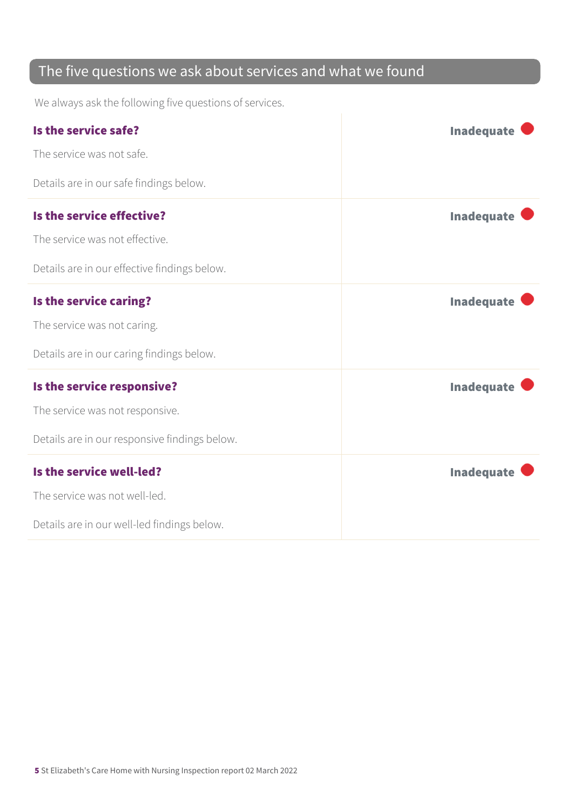### The five questions we ask about services and what we found

We always ask the following five questions of services.

| Is the service safe?<br>The service was not safe.<br>Details are in our safe findings below.                   | <b>Inadequate</b> |
|----------------------------------------------------------------------------------------------------------------|-------------------|
| Is the service effective?<br>The service was not effective.<br>Details are in our effective findings below.    | <b>Inadequate</b> |
| Is the service caring?<br>The service was not caring.<br>Details are in our caring findings below.             | <b>Inadequate</b> |
| Is the service responsive?<br>The service was not responsive.<br>Details are in our responsive findings below. | <b>Inadequate</b> |
| Is the service well-led?<br>The service was not well-led.<br>Details are in our well-led findings below.       | <b>Inadequate</b> |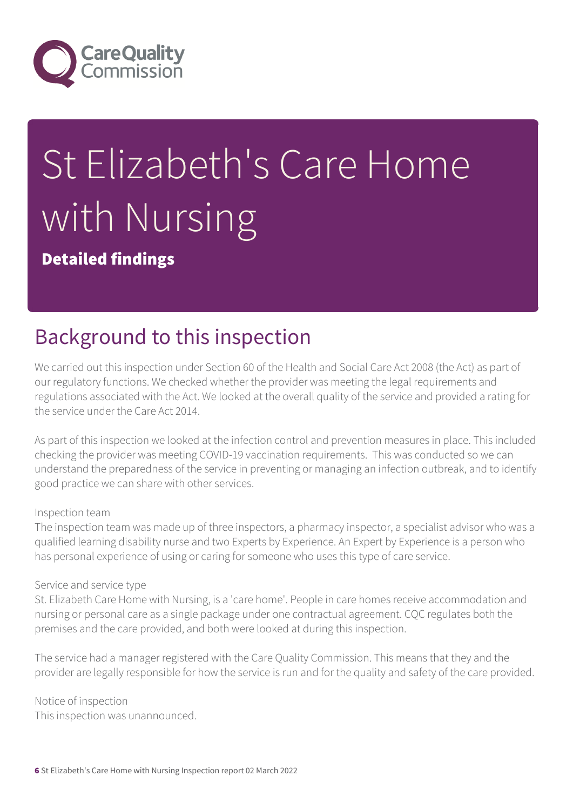

# St Elizabeth's Care Home with Nursing

Detailed findings

# Background to this inspection

We carried out this inspection under Section 60 of the Health and Social Care Act 2008 (the Act) as part of our regulatory functions. We checked whether the provider was meeting the legal requirements and regulations associated with the Act. We looked at the overall quality of the service and provided a rating for the service under the Care Act 2014.

As part of this inspection we looked at the infection control and prevention measures in place. This included checking the provider was meeting COVID-19 vaccination requirements. This was conducted so we can understand the preparedness of the service in preventing or managing an infection outbreak, and to identify good practice we can share with other services.

#### Inspection team

The inspection team was made up of three inspectors, a pharmacy inspector, a specialist advisor who was a qualified learning disability nurse and two Experts by Experience. An Expert by Experience is a person who has personal experience of using or caring for someone who uses this type of care service.

#### Service and service type

St. Elizabeth Care Home with Nursing, is a 'care home'. People in care homes receive accommodation and nursing or personal care as a single package under one contractual agreement. CQC regulates both the premises and the care provided, and both were looked at during this inspection.

The service had a manager registered with the Care Quality Commission. This means that they and the provider are legally responsible for how the service is run and for the quality and safety of the care provided.

Notice of inspection This inspection was unannounced.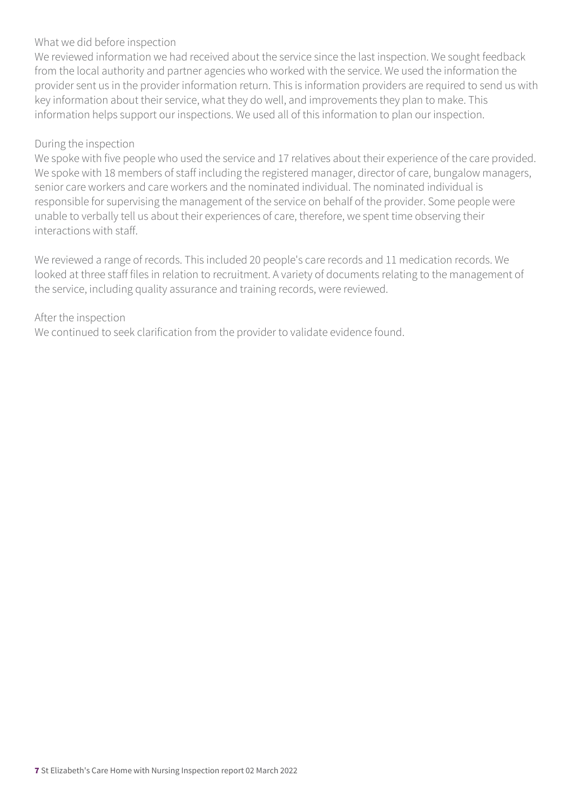#### What we did before inspection

We reviewed information we had received about the service since the last inspection. We sought feedback from the local authority and partner agencies who worked with the service. We used the information the provider sent us in the provider information return. This is information providers are required to send us with key information about their service, what they do well, and improvements they plan to make. This information helps support our inspections. We used all of this information to plan our inspection.

#### During the inspection

We spoke with five people who used the service and 17 relatives about their experience of the care provided. We spoke with 18 members of staff including the registered manager, director of care, bungalow managers, senior care workers and care workers and the nominated individual. The nominated individual is responsible for supervising the management of the service on behalf of the provider. Some people were unable to verbally tell us about their experiences of care, therefore, we spent time observing their interactions with staff.

We reviewed a range of records. This included 20 people's care records and 11 medication records. We looked at three staff files in relation to recruitment. A variety of documents relating to the management of the service, including quality assurance and training records, were reviewed.

#### After the inspection

We continued to seek clarification from the provider to validate evidence found.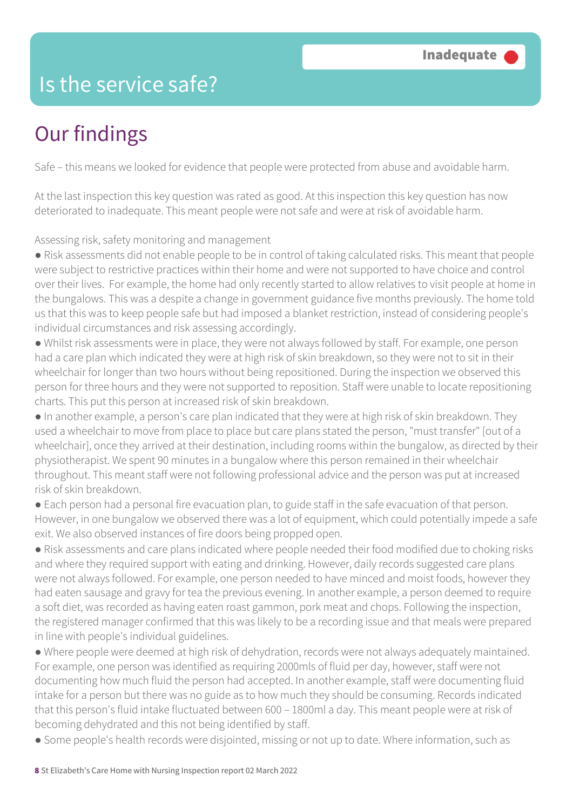### Is the service safe?

# Our findings

Safe – this means we looked for evidence that people were protected from abuse and avoidable harm.

At the last inspection this key question was rated as good. At this inspection this key question has now deteriorated to inadequate. This meant people were not safe and were at risk of avoidable harm.

Assessing risk, safety monitoring and management

● Risk assessments did not enable people to be in control of taking calculated risks. This meant that people were subject to restrictive practices within their home and were not supported to have choice and control over their lives. For example, the home had only recently started to allow relatives to visit people at home in the bungalows. This was a despite a change in government guidance five months previously. The home told us that this was to keep people safe but had imposed a blanket restriction, instead of considering people's individual circumstances and risk assessing accordingly.

● Whilst risk assessments were in place, they were not always followed by staff. For example, one person had a care plan which indicated they were at high risk of skin breakdown, so they were not to sit in their wheelchair for longer than two hours without being repositioned. During the inspection we observed this person for three hours and they were not supported to reposition. Staff were unable to locate repositioning charts. This put this person at increased risk of skin breakdown.

● In another example, a person's care plan indicated that they were at high risk of skin breakdown. They used a wheelchair to move from place to place but care plans stated the person, "must transfer" [out of a wheelchair], once they arrived at their destination, including rooms within the bungalow, as directed by their physiotherapist. We spent 90 minutes in a bungalow where this person remained in their wheelchair throughout. This meant staff were not following professional advice and the person was put at increased risk of skin breakdown.

● Each person had a personal fire evacuation plan, to guide staff in the safe evacuation of that person. However, in one bungalow we observed there was a lot of equipment, which could potentially impede a safe exit. We also observed instances of fire doors being propped open.

● Risk assessments and care plans indicated where people needed their food modified due to choking risks and where they required support with eating and drinking. However, daily records suggested care plans were not always followed. For example, one person needed to have minced and moist foods, however they had eaten sausage and gravy for tea the previous evening. In another example, a person deemed to require a soft diet, was recorded as having eaten roast gammon, pork meat and chops. Following the inspection, the registered manager confirmed that this was likely to be a recording issue and that meals were prepared in line with people's individual guidelines.

● Where people were deemed at high risk of dehydration, records were not always adequately maintained. For example, one person was identified as requiring 2000mls of fluid per day, however, staff were not documenting how much fluid the person had accepted. In another example, staff were documenting fluid intake for a person but there was no guide as to how much they should be consuming. Records indicated that this person's fluid intake fluctuated between 600 – 1800ml a day. This meant people were at risk of becoming dehydrated and this not being identified by staff.

● Some people's health records were disjointed, missing or not up to date. Where information, such as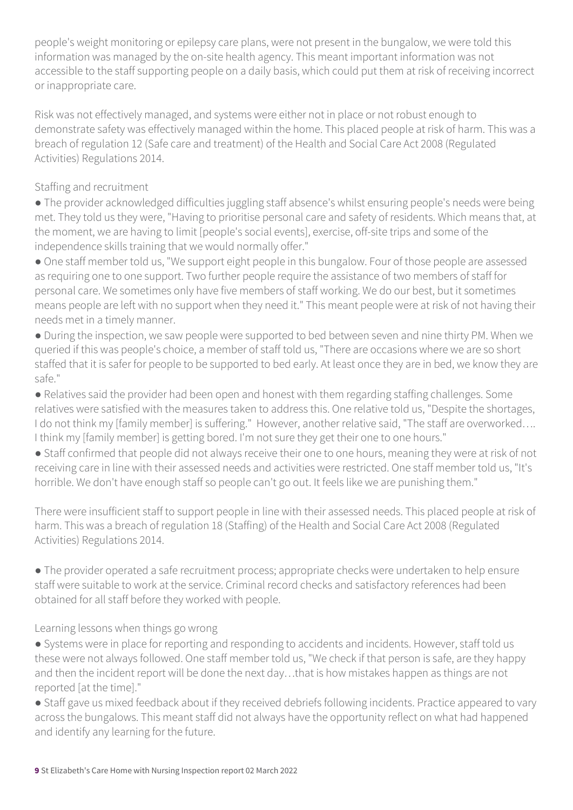people's weight monitoring or epilepsy care plans, were not present in the bungalow, we were told this information was managed by the on-site health agency. This meant important information was not accessible to the staff supporting people on a daily basis, which could put them at risk of receiving incorrect or inappropriate care.

Risk was not effectively managed, and systems were either not in place or not robust enough to demonstrate safety was effectively managed within the home. This placed people at risk of harm. This was a breach of regulation 12 (Safe care and treatment) of the Health and Social Care Act 2008 (Regulated Activities) Regulations 2014.

### Staffing and recruitment

● The provider acknowledged difficulties juggling staff absence's whilst ensuring people's needs were being met. They told us they were, "Having to prioritise personal care and safety of residents. Which means that, at the moment, we are having to limit [people's social events], exercise, off-site trips and some of the independence skills training that we would normally offer."

● One staff member told us, "We support eight people in this bungalow. Four of those people are assessed as requiring one to one support. Two further people require the assistance of two members of staff for personal care. We sometimes only have five members of staff working. We do our best, but it sometimes means people are left with no support when they need it." This meant people were at risk of not having their needs met in a timely manner.

● During the inspection, we saw people were supported to bed between seven and nine thirty PM. When we queried if this was people's choice, a member of staff told us, "There are occasions where we are so short staffed that it is safer for people to be supported to bed early. At least once they are in bed, we know they are safe."

● Relatives said the provider had been open and honest with them regarding staffing challenges. Some relatives were satisfied with the measures taken to address this. One relative told us, "Despite the shortages, I do not think my [family member] is suffering." However, another relative said, "The staff are overworked.... I think my [family member] is getting bored. I'm not sure they get their one to one hours."

● Staff confirmed that people did not always receive their one to one hours, meaning they were at risk of not receiving care in line with their assessed needs and activities were restricted. One staff member told us, "It's horrible. We don't have enough staff so people can't go out. It feels like we are punishing them."

There were insufficient staff to support people in line with their assessed needs. This placed people at risk of harm. This was a breach of regulation 18 (Staffing) of the Health and Social Care Act 2008 (Regulated Activities) Regulations 2014.

● The provider operated a safe recruitment process; appropriate checks were undertaken to help ensure staff were suitable to work at the service. Criminal record checks and satisfactory references had been obtained for all staff before they worked with people.

Learning lessons when things go wrong

● Systems were in place for reporting and responding to accidents and incidents. However, staff told us these were not always followed. One staff member told us, "We check if that person is safe, are they happy and then the incident report will be done the next day…that is how mistakes happen as things are not reported [at the time]."

● Staff gave us mixed feedback about if they received debriefs following incidents. Practice appeared to vary across the bungalows. This meant staff did not always have the opportunity reflect on what had happened and identify any learning for the future.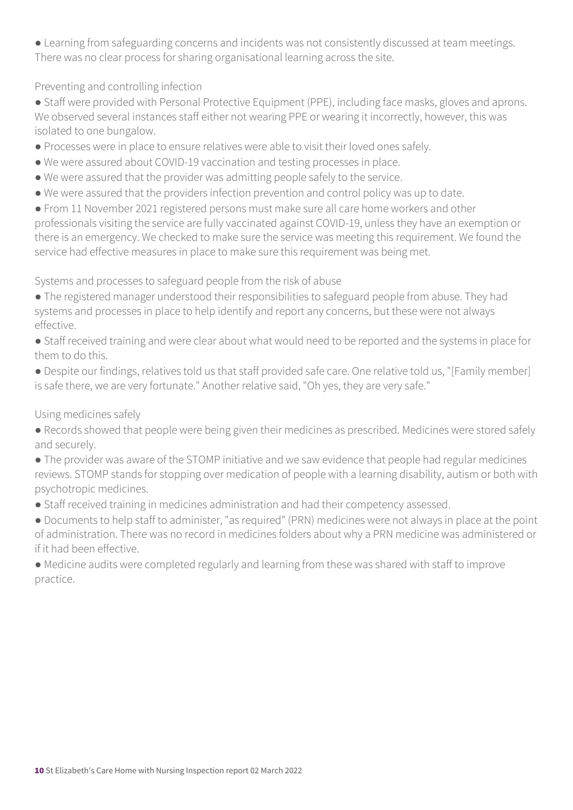● Learning from safeguarding concerns and incidents was not consistently discussed at team meetings. There was no clear process for sharing organisational learning across the site.

Preventing and controlling infection

● Staff were provided with Personal Protective Equipment (PPE), including face masks, gloves and aprons. We observed several instances staff either not wearing PPE or wearing it incorrectly, however, this was isolated to one bungalow.

- Processes were in place to ensure relatives were able to visit their loved ones safely.
- We were assured about COVID-19 vaccination and testing processes in place.
- We were assured that the provider was admitting people safely to the service.
- We were assured that the providers infection prevention and control policy was up to date.

● From 11 November 2021 registered persons must make sure all care home workers and other professionals visiting the service are fully vaccinated against COVID-19, unless they have an exemption or there is an emergency. We checked to make sure the service was meeting this requirement. We found the service had effective measures in place to make sure this requirement was being met.

Systems and processes to safeguard people from the risk of abuse

- The registered manager understood their responsibilities to safeguard people from abuse. They had systems and processes in place to help identify and report any concerns, but these were not always effective.
- Staff received training and were clear about what would need to be reported and the systems in place for them to do this.
- Despite our findings, relatives told us that staff provided safe care. One relative told us, "[Family member] is safe there, we are very fortunate." Another relative said, "Oh yes, they are very safe."

Using medicines safely

- Records showed that people were being given their medicines as prescribed. Medicines were stored safely and securely.
- The provider was aware of the STOMP initiative and we saw evidence that people had regular medicines reviews. STOMP stands for stopping over medication of people with a learning disability, autism or both with psychotropic medicines.
- Staff received training in medicines administration and had their competency assessed.
- Documents to help staff to administer, "as required" (PRN) medicines were not always in place at the point of administration. There was no record in medicines folders about why a PRN medicine was administered or if it had been effective.
- Medicine audits were completed regularly and learning from these was shared with staff to improve practice.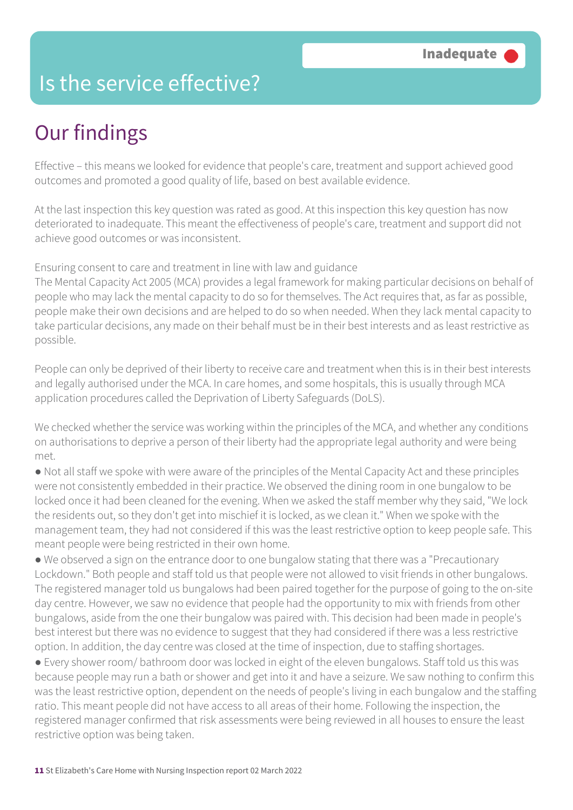### Is the service effective?

# Our findings

Effective – this means we looked for evidence that people's care, treatment and support achieved good outcomes and promoted a good quality of life, based on best available evidence.

At the last inspection this key question was rated as good. At this inspection this key question has now deteriorated to inadequate. This meant the effectiveness of people's care, treatment and support did not achieve good outcomes or was inconsistent.

Ensuring consent to care and treatment in line with law and guidance

The Mental Capacity Act 2005 (MCA) provides a legal framework for making particular decisions on behalf of people who may lack the mental capacity to do so for themselves. The Act requires that, as far as possible, people make their own decisions and are helped to do so when needed. When they lack mental capacity to take particular decisions, any made on their behalf must be in their best interests and as least restrictive as possible.

People can only be deprived of their liberty to receive care and treatment when this is in their best interests and legally authorised under the MCA. In care homes, and some hospitals, this is usually through MCA application procedures called the Deprivation of Liberty Safeguards (DoLS).

We checked whether the service was working within the principles of the MCA, and whether any conditions on authorisations to deprive a person of their liberty had the appropriate legal authority and were being met.

● Not all staff we spoke with were aware of the principles of the Mental Capacity Act and these principles were not consistently embedded in their practice. We observed the dining room in one bungalow to be locked once it had been cleaned for the evening. When we asked the staff member why they said, "We lock the residents out, so they don't get into mischief it is locked, as we clean it." When we spoke with the management team, they had not considered if this was the least restrictive option to keep people safe. This meant people were being restricted in their own home.

● We observed a sign on the entrance door to one bungalow stating that there was a "Precautionary Lockdown." Both people and staff told us that people were not allowed to visit friends in other bungalows. The registered manager told us bungalows had been paired together for the purpose of going to the on-site day centre. However, we saw no evidence that people had the opportunity to mix with friends from other bungalows, aside from the one their bungalow was paired with. This decision had been made in people's best interest but there was no evidence to suggest that they had considered if there was a less restrictive option. In addition, the day centre was closed at the time of inspection, due to staffing shortages.

● Every shower room/ bathroom door was locked in eight of the eleven bungalows. Staff told us this was because people may run a bath or shower and get into it and have a seizure. We saw nothing to confirm this was the least restrictive option, dependent on the needs of people's living in each bungalow and the staffing ratio. This meant people did not have access to all areas of their home. Following the inspection, the registered manager confirmed that risk assessments were being reviewed in all houses to ensure the least restrictive option was being taken.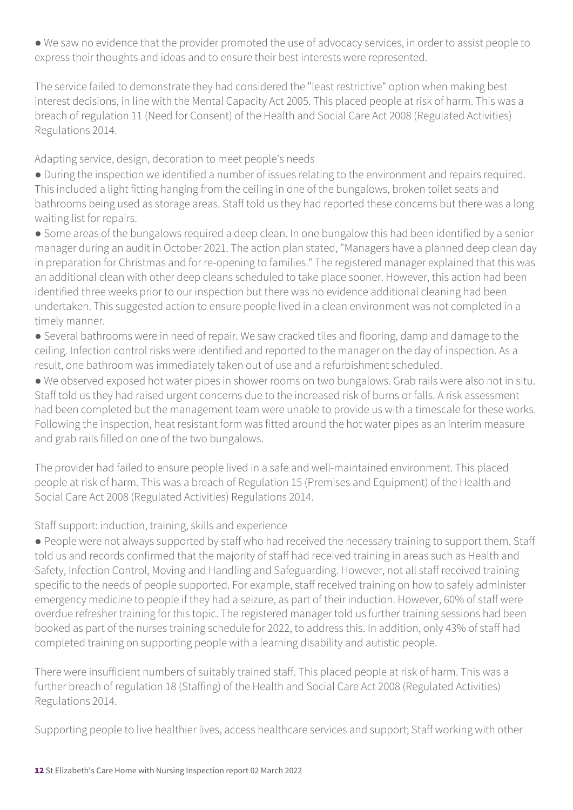● We saw no evidence that the provider promoted the use of advocacy services, in order to assist people to express their thoughts and ideas and to ensure their best interests were represented.

The service failed to demonstrate they had considered the "least restrictive" option when making best interest decisions, in line with the Mental Capacity Act 2005. This placed people at risk of harm. This was a breach of regulation 11 (Need for Consent) of the Health and Social Care Act 2008 (Regulated Activities) Regulations 2014.

Adapting service, design, decoration to meet people's needs

● During the inspection we identified a number of issues relating to the environment and repairs required. This included a light fitting hanging from the ceiling in one of the bungalows, broken toilet seats and bathrooms being used as storage areas. Staff told us they had reported these concerns but there was a long waiting list for repairs.

● Some areas of the bungalows required a deep clean. In one bungalow this had been identified by a senior manager during an audit in October 2021. The action plan stated, "Managers have a planned deep clean day in preparation for Christmas and for re-opening to families." The registered manager explained that this was an additional clean with other deep cleans scheduled to take place sooner. However, this action had been identified three weeks prior to our inspection but there was no evidence additional cleaning had been undertaken. This suggested action to ensure people lived in a clean environment was not completed in a timely manner.

● Several bathrooms were in need of repair. We saw cracked tiles and flooring, damp and damage to the ceiling. Infection control risks were identified and reported to the manager on the day of inspection. As a result, one bathroom was immediately taken out of use and a refurbishment scheduled.

● We observed exposed hot water pipes in shower rooms on two bungalows. Grab rails were also not in situ. Staff told us they had raised urgent concerns due to the increased risk of burns or falls. A risk assessment had been completed but the management team were unable to provide us with a timescale for these works. Following the inspection, heat resistant form was fitted around the hot water pipes as an interim measure and grab rails filled on one of the two bungalows.

The provider had failed to ensure people lived in a safe and well-maintained environment. This placed people at risk of harm. This was a breach of Regulation 15 (Premises and Equipment) of the Health and Social Care Act 2008 (Regulated Activities) Regulations 2014.

### Staff support: induction, training, skills and experience

● People were not always supported by staff who had received the necessary training to support them. Staff told us and records confirmed that the majority of staff had received training in areas such as Health and Safety, Infection Control, Moving and Handling and Safeguarding. However, not all staff received training specific to the needs of people supported. For example, staff received training on how to safely administer emergency medicine to people if they had a seizure, as part of their induction. However, 60% of staff were overdue refresher training for this topic. The registered manager told us further training sessions had been booked as part of the nurses training schedule for 2022, to address this. In addition, only 43% of staff had completed training on supporting people with a learning disability and autistic people.

There were insufficient numbers of suitably trained staff. This placed people at risk of harm. This was a further breach of regulation 18 (Staffing) of the Health and Social Care Act 2008 (Regulated Activities) Regulations 2014.

Supporting people to live healthier lives, access healthcare services and support; Staff working with other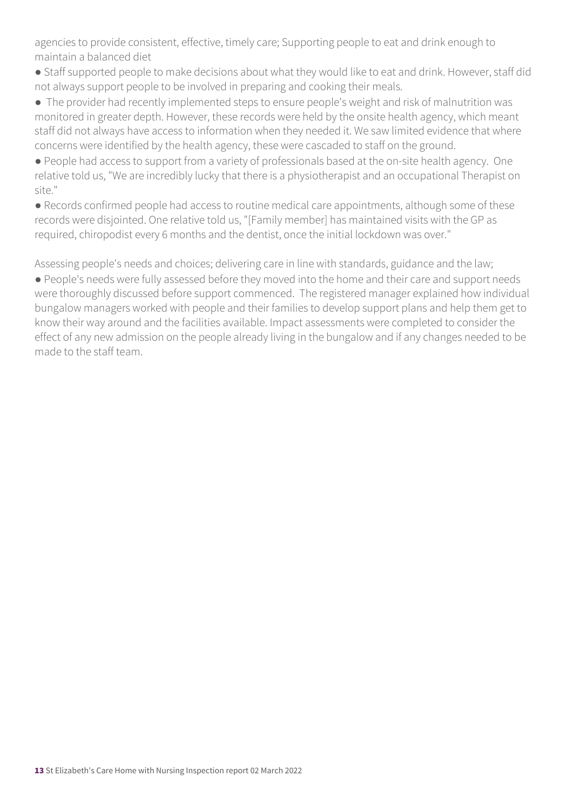agencies to provide consistent, effective, timely care; Supporting people to eat and drink enough to maintain a balanced diet

- Staff supported people to make decisions about what they would like to eat and drink. However, staff did not always support people to be involved in preparing and cooking their meals.
- The provider had recently implemented steps to ensure people's weight and risk of malnutrition was monitored in greater depth. However, these records were held by the onsite health agency, which meant staff did not always have access to information when they needed it. We saw limited evidence that where concerns were identified by the health agency, these were cascaded to staff on the ground.
- People had access to support from a variety of professionals based at the on-site health agency. One relative told us, "We are incredibly lucky that there is a physiotherapist and an occupational Therapist on site."
- Records confirmed people had access to routine medical care appointments, although some of these records were disjointed. One relative told us, "[Family member] has maintained visits with the GP as required, chiropodist every 6 months and the dentist, once the initial lockdown was over."

Assessing people's needs and choices; delivering care in line with standards, guidance and the law;

● People's needs were fully assessed before they moved into the home and their care and support needs were thoroughly discussed before support commenced. The registered manager explained how individual bungalow managers worked with people and their families to develop support plans and help them get to know their way around and the facilities available. Impact assessments were completed to consider the effect of any new admission on the people already living in the bungalow and if any changes needed to be made to the staff team.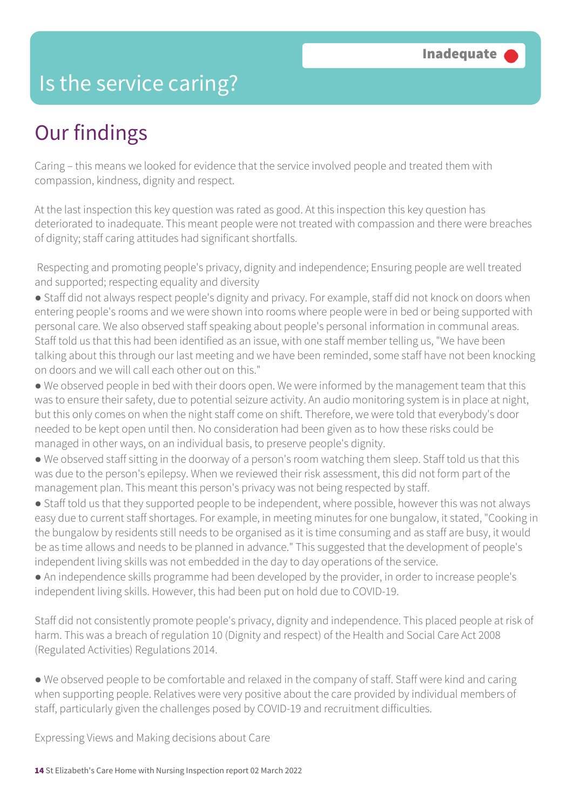### Is the service caring?

## Our findings

Caring – this means we looked for evidence that the service involved people and treated them with compassion, kindness, dignity and respect.

At the last inspection this key question was rated as good. At this inspection this key question has deteriorated to inadequate. This meant people were not treated with compassion and there were breaches of dignity; staff caring attitudes had significant shortfalls.

 Respecting and promoting people's privacy, dignity and independence; Ensuring people are well treated and supported; respecting equality and diversity

- Staff did not always respect people's dignity and privacy. For example, staff did not knock on doors when entering people's rooms and we were shown into rooms where people were in bed or being supported with personal care. We also observed staff speaking about people's personal information in communal areas. Staff told us that this had been identified as an issue, with one staff member telling us, "We have been talking about this through our last meeting and we have been reminded, some staff have not been knocking on doors and we will call each other out on this."
- We observed people in bed with their doors open. We were informed by the management team that this was to ensure their safety, due to potential seizure activity. An audio monitoring system is in place at night, but this only comes on when the night staff come on shift. Therefore, we were told that everybody's door needed to be kept open until then. No consideration had been given as to how these risks could be managed in other ways, on an individual basis, to preserve people's dignity.
- We observed staff sitting in the doorway of a person's room watching them sleep. Staff told us that this was due to the person's epilepsy. When we reviewed their risk assessment, this did not form part of the management plan. This meant this person's privacy was not being respected by staff.
- Staff told us that they supported people to be independent, where possible, however this was not always easy due to current staff shortages. For example, in meeting minutes for one bungalow, it stated, "Cooking in the bungalow by residents still needs to be organised as it is time consuming and as staff are busy, it would be as time allows and needs to be planned in advance." This suggested that the development of people's independent living skills was not embedded in the day to day operations of the service.
- An independence skills programme had been developed by the provider, in order to increase people's independent living skills. However, this had been put on hold due to COVID-19.

Staff did not consistently promote people's privacy, dignity and independence. This placed people at risk of harm. This was a breach of regulation 10 (Dignity and respect) of the Health and Social Care Act 2008 (Regulated Activities) Regulations 2014.

● We observed people to be comfortable and relaxed in the company of staff. Staff were kind and caring when supporting people. Relatives were very positive about the care provided by individual members of staff, particularly given the challenges posed by COVID-19 and recruitment difficulties.

Expressing Views and Making decisions about Care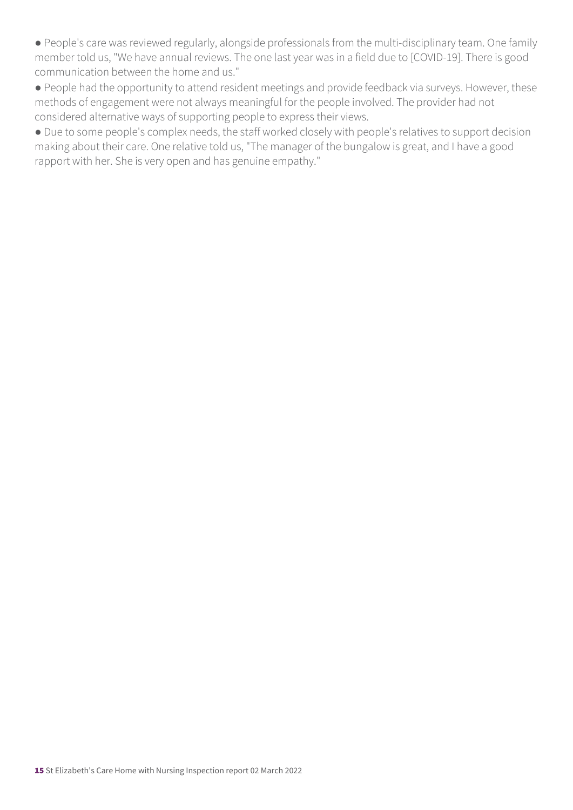● People's care was reviewed regularly, alongside professionals from the multi-disciplinary team. One family member told us, "We have annual reviews. The one last year was in a field due to [COVID-19]. There is good communication between the home and us."

● People had the opportunity to attend resident meetings and provide feedback via surveys. However, these methods of engagement were not always meaningful for the people involved. The provider had not considered alternative ways of supporting people to express their views.

● Due to some people's complex needs, the staff worked closely with people's relatives to support decision making about their care. One relative told us, "The manager of the bungalow is great, and I have a good rapport with her. She is very open and has genuine empathy."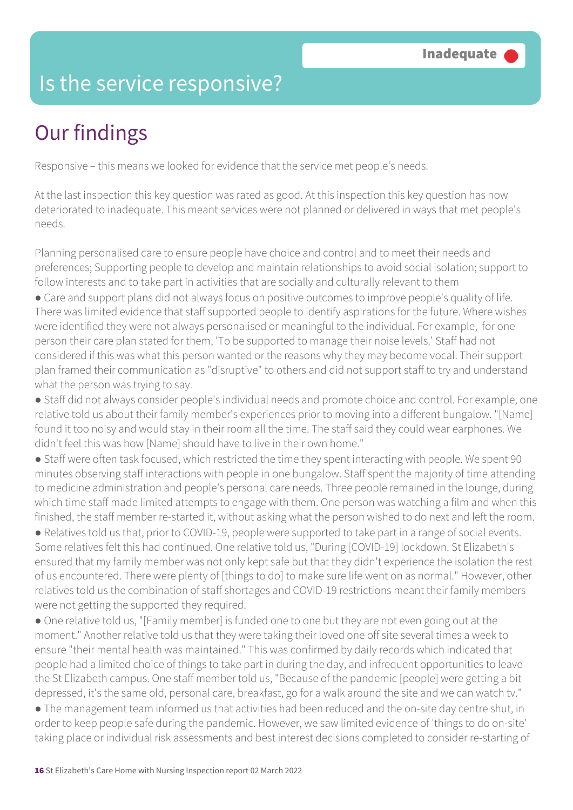### Is the service responsive?

# Our findings

Responsive – this means we looked for evidence that the service met people's needs.

At the last inspection this key question was rated as good. At this inspection this key question has now deteriorated to inadequate. This meant services were not planned or delivered in ways that met people's needs.

Planning personalised care to ensure people have choice and control and to meet their needs and preferences; Supporting people to develop and maintain relationships to avoid social isolation; support to follow interests and to take part in activities that are socially and culturally relevant to them

● Care and support plans did not always focus on positive outcomes to improve people's quality of life. There was limited evidence that staff supported people to identify aspirations for the future. Where wishes were identified they were not always personalised or meaningful to the individual. For example, for one person their care plan stated for them, 'To be supported to manage their noise levels.' Staff had not considered if this was what this person wanted or the reasons why they may become vocal. Their support plan framed their communication as "disruptive" to others and did not support staff to try and understand what the person was trying to say.

● Staff did not always consider people's individual needs and promote choice and control. For example, one relative told us about their family member's experiences prior to moving into a different bungalow. "[Name] found it too noisy and would stay in their room all the time. The staff said they could wear earphones. We didn't feel this was how [Name] should have to live in their own home."

● Staff were often task focused, which restricted the time they spent interacting with people. We spent 90 minutes observing staff interactions with people in one bungalow. Staff spent the majority of time attending to medicine administration and people's personal care needs. Three people remained in the lounge, during which time staff made limited attempts to engage with them. One person was watching a film and when this finished, the staff member re-started it, without asking what the person wished to do next and left the room.

● Relatives told us that, prior to COVID-19, people were supported to take part in a range of social events. Some relatives felt this had continued. One relative told us, "During [COVID-19] lockdown. St Elizabeth's ensured that my family member was not only kept safe but that they didn't experience the isolation the rest of us encountered. There were plenty of [things to do] to make sure life went on as normal." However, other relatives told us the combination of staff shortages and COVID-19 restrictions meant their family members were not getting the supported they required.

• One relative told us, "[Family member] is funded one to one but they are not even going out at the moment." Another relative told us that they were taking their loved one off site several times a week to ensure "their mental health was maintained." This was confirmed by daily records which indicated that people had a limited choice of things to take part in during the day, and infrequent opportunities to leave the St Elizabeth campus. One staff member told us, "Because of the pandemic [people] were getting a bit depressed, it's the same old, personal care, breakfast, go for a walk around the site and we can watch tv."

● The management team informed us that activities had been reduced and the on-site day centre shut, in order to keep people safe during the pandemic. However, we saw limited evidence of 'things to do on-site' taking place or individual risk assessments and best interest decisions completed to consider re-starting of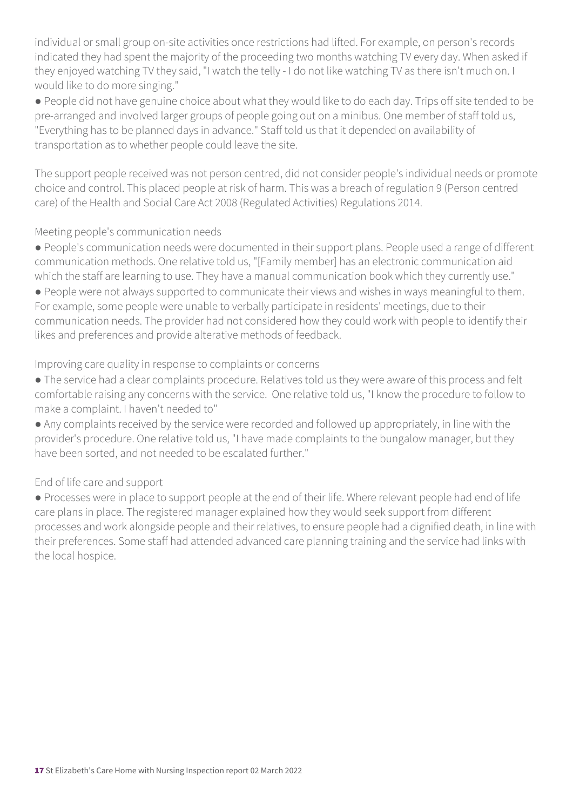individual or small group on-site activities once restrictions had lifted. For example, on person's records indicated they had spent the majority of the proceeding two months watching TV every day. When asked if they enjoyed watching TV they said, "I watch the telly - I do not like watching TV as there isn't much on. I would like to do more singing."

● People did not have genuine choice about what they would like to do each day. Trips off site tended to be pre-arranged and involved larger groups of people going out on a minibus. One member of staff told us, "Everything has to be planned days in advance." Staff told us that it depended on availability of transportation as to whether people could leave the site.

The support people received was not person centred, did not consider people's individual needs or promote choice and control. This placed people at risk of harm. This was a breach of regulation 9 (Person centred care) of the Health and Social Care Act 2008 (Regulated Activities) Regulations 2014.

#### Meeting people's communication needs

- People's communication needs were documented in their support plans. People used a range of different communication methods. One relative told us, "[Family member] has an electronic communication aid which the staff are learning to use. They have a manual communication book which they currently use."
- People were not always supported to communicate their views and wishes in ways meaningful to them. For example, some people were unable to verbally participate in residents' meetings, due to their communication needs. The provider had not considered how they could work with people to identify their likes and preferences and provide alterative methods of feedback.

#### Improving care quality in response to complaints or concerns

- The service had a clear complaints procedure. Relatives told us they were aware of this process and felt comfortable raising any concerns with the service. One relative told us, "I know the procedure to follow to make a complaint. I haven't needed to"
- Any complaints received by the service were recorded and followed up appropriately, in line with the provider's procedure. One relative told us, "I have made complaints to the bungalow manager, but they have been sorted, and not needed to be escalated further."

### End of life care and support

● Processes were in place to support people at the end of their life. Where relevant people had end of life care plans in place. The registered manager explained how they would seek support from different processes and work alongside people and their relatives, to ensure people had a dignified death, in line with their preferences. Some staff had attended advanced care planning training and the service had links with the local hospice.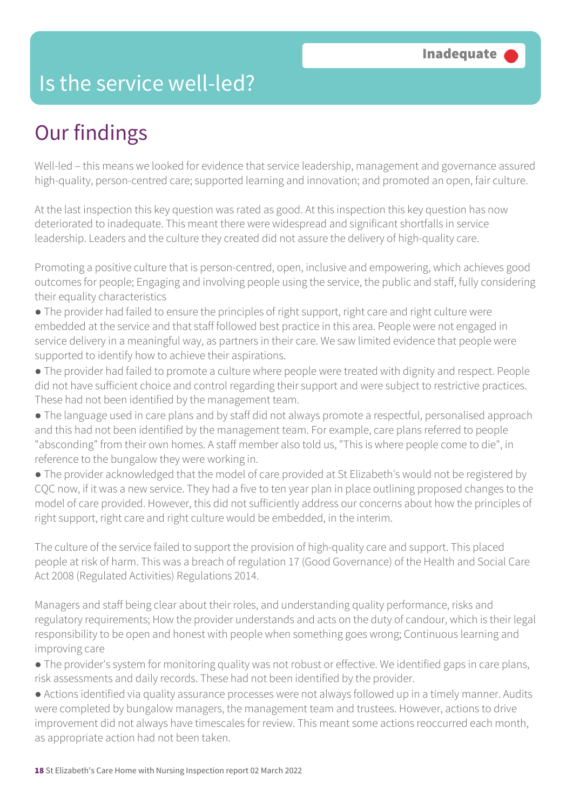### Is the service well-led?

## Our findings

Well-led – this means we looked for evidence that service leadership, management and governance assured high-quality, person-centred care; supported learning and innovation; and promoted an open, fair culture.

At the last inspection this key question was rated as good. At this inspection this key question has now deteriorated to inadequate. This meant there were widespread and significant shortfalls in service leadership. Leaders and the culture they created did not assure the delivery of high-quality care.

Promoting a positive culture that is person-centred, open, inclusive and empowering, which achieves good outcomes for people; Engaging and involving people using the service, the public and staff, fully considering their equality characteristics

- The provider had failed to ensure the principles of right support, right care and right culture were embedded at the service and that staff followed best practice in this area. People were not engaged in service delivery in a meaningful way, as partners in their care. We saw limited evidence that people were supported to identify how to achieve their aspirations.
- The provider had failed to promote a culture where people were treated with dignity and respect. People did not have sufficient choice and control regarding their support and were subject to restrictive practices. These had not been identified by the management team.
- The language used in care plans and by staff did not always promote a respectful, personalised approach and this had not been identified by the management team. For example, care plans referred to people "absconding" from their own homes. A staff member also told us, "This is where people come to die", in reference to the bungalow they were working in.
- The provider acknowledged that the model of care provided at St Elizabeth's would not be registered by CQC now, if it was a new service. They had a five to ten year plan in place outlining proposed changes to the model of care provided. However, this did not sufficiently address our concerns about how the principles of right support, right care and right culture would be embedded, in the interim.

The culture of the service failed to support the provision of high-quality care and support. This placed people at risk of harm. This was a breach of regulation 17 (Good Governance) of the Health and Social Care Act 2008 (Regulated Activities) Regulations 2014.

Managers and staff being clear about their roles, and understanding quality performance, risks and regulatory requirements; How the provider understands and acts on the duty of candour, which is their legal responsibility to be open and honest with people when something goes wrong; Continuous learning and improving care

- The provider's system for monitoring quality was not robust or effective. We identified gaps in care plans, risk assessments and daily records. These had not been identified by the provider.
- Actions identified via quality assurance processes were not always followed up in a timely manner. Audits were completed by bungalow managers, the management team and trustees. However, actions to drive improvement did not always have timescales for review. This meant some actions reoccurred each month, as appropriate action had not been taken.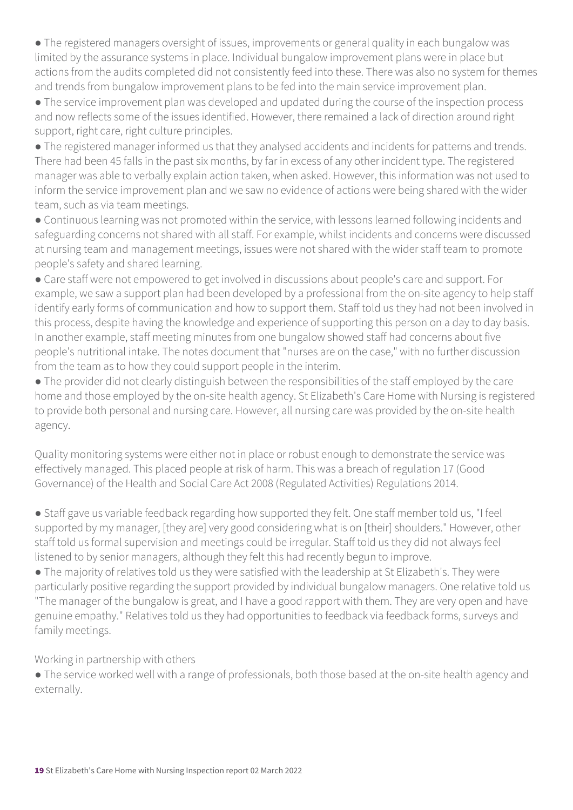● The registered managers oversight of issues, improvements or general quality in each bungalow was limited by the assurance systems in place. Individual bungalow improvement plans were in place but actions from the audits completed did not consistently feed into these. There was also no system for themes and trends from bungalow improvement plans to be fed into the main service improvement plan.

● The service improvement plan was developed and updated during the course of the inspection process and now reflects some of the issues identified. However, there remained a lack of direction around right support, right care, right culture principles.

● The registered manager informed us that they analysed accidents and incidents for patterns and trends. There had been 45 falls in the past six months, by far in excess of any other incident type. The registered manager was able to verbally explain action taken, when asked. However, this information was not used to inform the service improvement plan and we saw no evidence of actions were being shared with the wider team, such as via team meetings.

● Continuous learning was not promoted within the service, with lessons learned following incidents and safeguarding concerns not shared with all staff. For example, whilst incidents and concerns were discussed at nursing team and management meetings, issues were not shared with the wider staff team to promote people's safety and shared learning.

● Care staff were not empowered to get involved in discussions about people's care and support. For example, we saw a support plan had been developed by a professional from the on-site agency to help staff identify early forms of communication and how to support them. Staff told us they had not been involved in this process, despite having the knowledge and experience of supporting this person on a day to day basis. In another example, staff meeting minutes from one bungalow showed staff had concerns about five people's nutritional intake. The notes document that "nurses are on the case," with no further discussion from the team as to how they could support people in the interim.

● The provider did not clearly distinguish between the responsibilities of the staff employed by the care home and those employed by the on-site health agency. St Elizabeth's Care Home with Nursing is registered to provide both personal and nursing care. However, all nursing care was provided by the on-site health agency.

Quality monitoring systems were either not in place or robust enough to demonstrate the service was effectively managed. This placed people at risk of harm. This was a breach of regulation 17 (Good Governance) of the Health and Social Care Act 2008 (Regulated Activities) Regulations 2014.

● Staff gave us variable feedback regarding how supported they felt. One staff member told us, "I feel supported by my manager, [they are] very good considering what is on [their] shoulders." However, other staff told us formal supervision and meetings could be irregular. Staff told us they did not always feel listened to by senior managers, although they felt this had recently begun to improve.

● The majority of relatives told us they were satisfied with the leadership at St Elizabeth's. They were particularly positive regarding the support provided by individual bungalow managers. One relative told us "The manager of the bungalow is great, and I have a good rapport with them. They are very open and have genuine empathy." Relatives told us they had opportunities to feedback via feedback forms, surveys and family meetings.

Working in partnership with others

● The service worked well with a range of professionals, both those based at the on-site health agency and externally.